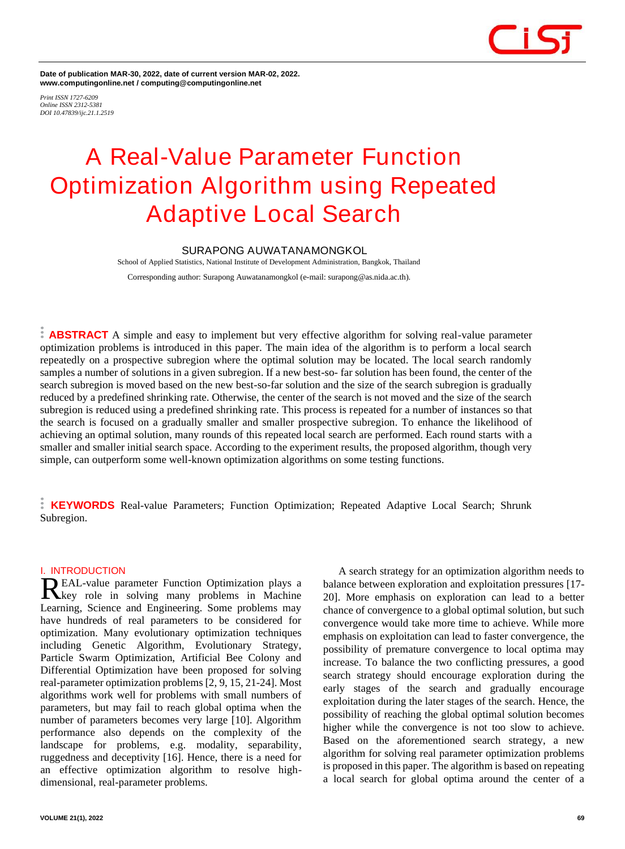

**Date of publication MAR-30, 2022, date of current version MAR-02, 2022. www.computingonline.net / computing@computingonline.net**

*Print ISSN 1727-6209 Online ISSN 2312-5381 DOI 10.47839/ijc.21.1.2519*

# **A Real-Value Parameter Function Optimization Algorithm using Repeated Adaptive Local Search**

# **SURAPONG AUWATANAMONGKOL**

School of Applied Statistics, National Institute of Development Administration, Bangkok, Thailand Corresponding author: Surapong Auwatanamongkol (e-mail: surapong@as.nida.ac.th).

**ABSTRACT** A simple and easy to implement but very effective algorithm for solving real-value parameter optimization problems is introduced in this paper. The main idea of the algorithm is to perform a local search repeatedly on a prospective subregion where the optimal solution may be located. The local search randomly samples a number of solutions in a given subregion. If a new best-so- far solution has been found, the center of the search subregion is moved based on the new best-so-far solution and the size of the search subregion is gradually reduced by a predefined shrinking rate. Otherwise, the center of the search is not moved and the size of the search subregion is reduced using a predefined shrinking rate. This process is repeated for a number of instances so that the search is focused on a gradually smaller and smaller prospective subregion. To enhance the likelihood of achieving an optimal solution, many rounds of this repeated local search are performed. Each round starts with a smaller and smaller initial search space. According to the experiment results, the proposed algorithm, though very simple, can outperform some well-known optimization algorithms on some testing functions.

**KEYWORDS** Real-value Parameters; Function Optimization; Repeated Adaptive Local Search; Shrunk Subregion.

#### **I. INTRODUCTION**

EAL-value parameter Function Optimization plays a **REAL-value parameter Function Optimization plays a**<br>Recept role in solving many problems in Machine Learning, Science and Engineering. Some problems may have hundreds of real parameters to be considered for optimization. Many evolutionary optimization techniques including Genetic Algorithm, Evolutionary Strategy, Particle Swarm Optimization, Artificial Bee Colony and Differential Optimization have been proposed for solving real-parameter optimization problems [2, 9, 15, 21-24]. Most algorithms work well for problems with small numbers of parameters, but may fail to reach global optima when the number of parameters becomes very large [10]. Algorithm performance also depends on the complexity of the landscape for problems, e.g. modality, separability, ruggedness and deceptivity [16]. Hence, there is a need for an effective optimization algorithm to resolve highdimensional, real-parameter problems.

A search strategy for an optimization algorithm needs to balance between exploration and exploitation pressures [17- 20]. More emphasis on exploration can lead to a better chance of convergence to a global optimal solution, but such convergence would take more time to achieve. While more emphasis on exploitation can lead to faster convergence, the possibility of premature convergence to local optima may increase. To balance the two conflicting pressures, a good search strategy should encourage exploration during the early stages of the search and gradually encourage exploitation during the later stages of the search. Hence, the possibility of reaching the global optimal solution becomes higher while the convergence is not too slow to achieve. Based on the aforementioned search strategy, a new algorithm for solving real parameter optimization problems is proposed in this paper. The algorithm is based on repeating a local search for global optima around the center of a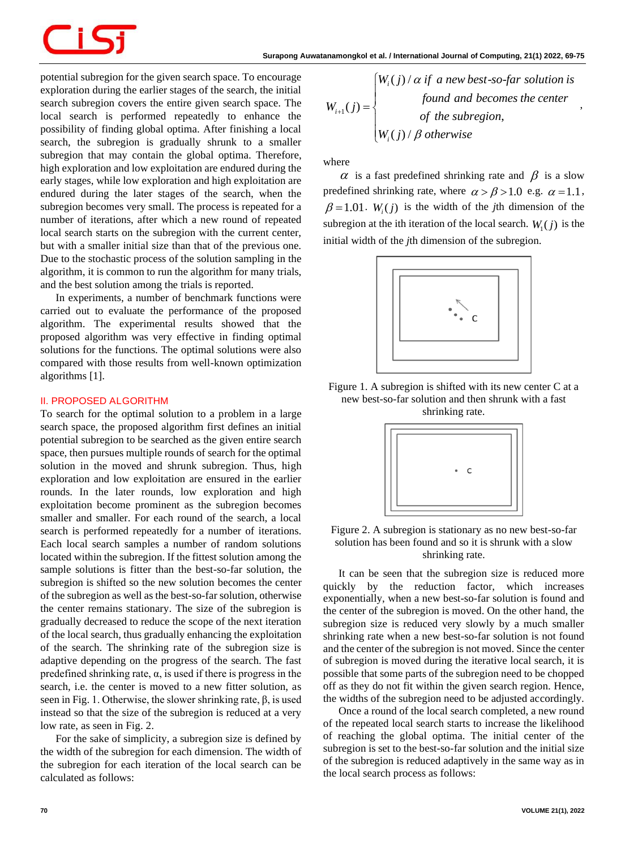

potential subregion for the given search space. To encourage exploration during the earlier stages of the search, the initial search subregion covers the entire given search space. The local search is performed repeatedly to enhance the possibility of finding global optima. After finishing a local search, the subregion is gradually shrunk to a smaller subregion that may contain the global optima. Therefore, high exploration and low exploitation are endured during the early stages, while low exploration and high exploitation are endured during the later stages of the search, when the subregion becomes very small. The process is repeated for a number of iterations, after which a new round of repeated local search starts on the subregion with the current center, but with a smaller initial size than that of the previous one. Due to the stochastic process of the solution sampling in the algorithm, it is common to run the algorithm for many trials, and the best solution among the trials is reported.

In experiments, a number of benchmark functions were carried out to evaluate the performance of the proposed algorithm. The experimental results showed that the proposed algorithm was very effective in finding optimal solutions for the functions. The optimal solutions were also compared with those results from well-known optimization algorithms [1].

#### **II. PROPOSED ALGORITHM**

To search for the optimal solution to a problem in a large search space, the proposed algorithm first defines an initial potential subregion to be searched as the given entire search space, then pursues multiple rounds of search for the optimal solution in the moved and shrunk subregion. Thus, high exploration and low exploitation are ensured in the earlier rounds. In the later rounds, low exploration and high exploitation become prominent as the subregion becomes smaller and smaller. For each round of the search, a local search is performed repeatedly for a number of iterations. Each local search samples a number of random solutions located within the subregion. If the fittest solution among the sample solutions is fitter than the best-so-far solution, the subregion is shifted so the new solution becomes the center of the subregion as well as the best-so-far solution, otherwise the center remains stationary. The size of the subregion is gradually decreased to reduce the scope of the next iteration of the local search, thus gradually enhancing the exploitation of the search. The shrinking rate of the subregion size is adaptive depending on the progress of the search. The fast predefined shrinking rate,  $\alpha$ , is used if there is progress in the search, i.e. the center is moved to a new fitter solution, as seen in Fig. 1. Otherwise, the slower shrinking rate, β, is used instead so that the size of the subregion is reduced at a very low rate, as seen in Fig. 2.

For the sake of simplicity, a subregion size is defined by the width of the subregion for each dimension. The width of the subregion for each iteration of the local search can be calculated as follows:

| Surapong Auwatanamongkol et al. / International Journal of Computing, 21(1) 2022, 69-75 |                                                             |                                                                                                                                                              |
|-----------------------------------------------------------------------------------------|-------------------------------------------------------------|--------------------------------------------------------------------------------------------------------------------------------------------------------------|
| ncourage                                                                                | he initial<br>face. The<br>ance the<br>g a local<br>smaller | $W_{i+1}(j) = \begin{cases} W_i(j) / \alpha & \text{if a new best-so-far solution is} \\ \text{found and becomes the center} & \text{otherwise} \end{cases}$ |

,

where

 $\alpha$  is a fast predefined shrinking rate and  $\beta$  is a slow predefined shrinking rate, where  $\alpha > \beta > 1.0$  e.g.  $\alpha = 1.1$ ,  $\beta = 1.01$ .  $W_i(j)$  is the width of the *j*th dimension of the subregion at the ith iteration of the local search.  $W_1(j)$  is the initial width of the *j*th dimension of the subregion.



Figure 1. A subregion is shifted with its new center C at a new best-so-far solution and then shrunk with a fast shrinking rate.



Figure 2. A subregion is stationary as no new best-so-far solution has been found and so it is shrunk with a slow shrinking rate.

It can be seen that the subregion size is reduced more quickly by the reduction factor, which increases exponentially, when a new best-so-far solution is found and the center of the subregion is moved. On the other hand, the subregion size is reduced very slowly by a much smaller shrinking rate when a new best-so-far solution is not found and the center of the subregion is not moved. Since the center of subregion is moved during the iterative local search, it is possible that some parts of the subregion need to be chopped off as they do not fit within the given search region. Hence, the widths of the subregion need to be adjusted accordingly.

Once a round of the local search completed, a new round of the repeated local search starts to increase the likelihood of reaching the global optima. The initial center of the subregion is set to the best-so-far solution and the initial size of the subregion is reduced adaptively in the same way as in the local search process as follows: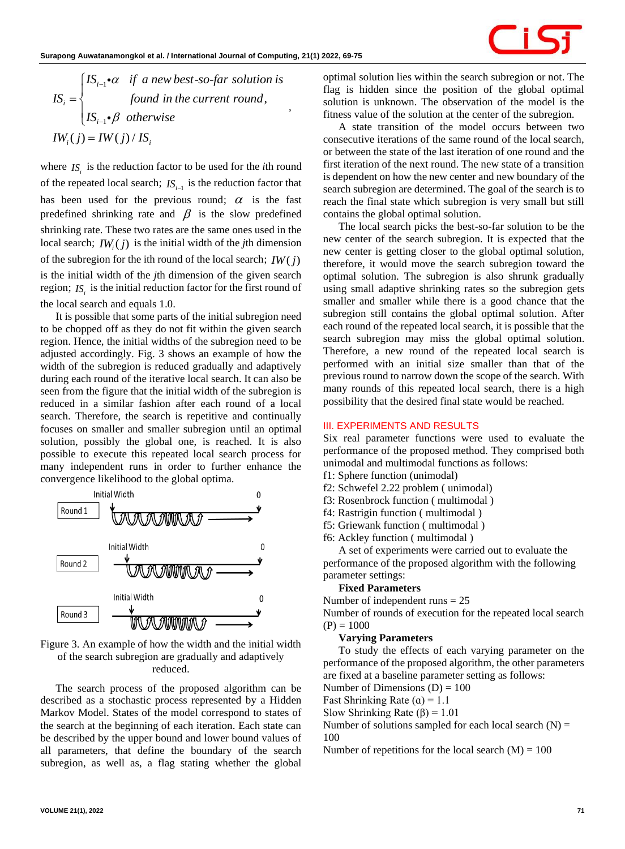,

| Surapong Auwatanamongkol et al. / International Journal of Computing, 21(1) 2022, 69-75                                                                                                                                                  |                                                                                                  |
|------------------------------------------------------------------------------------------------------------------------------------------------------------------------------------------------------------------------------------------|--------------------------------------------------------------------------------------------------|
| $IS_i =\n \begin{cases}\n IS_{i-1} \cdot \alpha & \text{if } a new best-so-far solution is \\ & \text{for all } i \text{ then } a \text{ is } a \text{ if } a \text{ is } b \\ IS_{i-1} \cdot \beta & \text{otherwise}\n \end{cases}$ \n | Equation of the current round, $IS_{i-1} \cdot \beta$ for the second value of the current round. |
| $IW_i(j) = IW(j) / IS_i$                                                                                                                                                                                                                 | Conjecture                                                                                       |

where  $IS_i$  is the reduction factor to be used for the *i*th round of the repeated local search;  $IS_{i-1}$  is the reduction factor that has been used for the previous round;  $\alpha$  is the fast predefined shrinking rate and  $\beta$  is the slow predefined shrinking rate. These two rates are the same ones used in the local search;  $IW_i(j)$  is the initial width of the *j*th dimension of the subregion for the ith round of the local search;  $IW(j)$ is the initial width of the *j*th dimension of the given search region;  $IS_i$  is the initial reduction factor for the first round of the local search and equals 1.0.

It is possible that some parts of the initial subregion need to be chopped off as they do not fit within the given search region. Hence, the initial widths of the subregion need to be adjusted accordingly. Fig. 3 shows an example of how the width of the subregion is reduced gradually and adaptively during each round of the iterative local search. It can also be seen from the figure that the initial width of the subregion is reduced in a similar fashion after each round of a local search. Therefore, the search is repetitive and continually focuses on smaller and smaller subregion until an optimal solution, possibly the global one, is reached. It is also possible to execute this repeated local search process for many independent runs in order to further enhance the convergence likelihood to the global optima.



Figure 3. An example of how the width and the initial width of the search subregion are gradually and adaptively reduced.

The search process of the proposed algorithm can be described as a stochastic process represented by a Hidden Markov Model. States of the model correspond to states of the search at the beginning of each iteration. Each state can be described by the upper bound and lower bound values of all parameters, that define the boundary of the search subregion, as well as, a flag stating whether the global

optimal solution lies within the search subregion or not. The flag is hidden since the position of the global optimal solution is unknown. The observation of the model is the fitness value of the solution at the center of the subregion.

A state transition of the model occurs between two consecutive iterations of the same round of the local search, or between the state of the last iteration of one round and the first iteration of the next round. The new state of a transition is dependent on how the new center and new boundary of the search subregion are determined. The goal of the search is to reach the final state which subregion is very small but still contains the global optimal solution.

The local search picks the best-so-far solution to be the new center of the search subregion. It is expected that the new center is getting closer to the global optimal solution, therefore, it would move the search subregion toward the optimal solution. The subregion is also shrunk gradually using small adaptive shrinking rates so the subregion gets smaller and smaller while there is a good chance that the subregion still contains the global optimal solution. After each round of the repeated local search, it is possible that the search subregion may miss the global optimal solution. Therefore, a new round of the repeated local search is performed with an initial size smaller than that of the previous round to narrow down the scope of the search. With many rounds of this repeated local search, there is a high possibility that the desired final state would be reached.

# **III. EXPERIMENTS AND RESULTS**

Six real parameter functions were used to evaluate the performance of the proposed method. They comprised both unimodal and multimodal functions as follows:

- f1: Sphere function (unimodal)
- f2: Schwefel 2.22 problem ( unimodal)
- f3: Rosenbrock function ( multimodal )
- f4: Rastrigin function ( multimodal )
- f5: Griewank function ( multimodal )
- f6: Ackley function ( multimodal )

A set of experiments were carried out to evaluate the performance of the proposed algorithm with the following parameter settings:

#### **Fixed Parameters**

Number of independent runs = 25

Number of rounds of execution for the repeated local search  $(P) = 1000$ 

# **Varying Parameters**

To study the effects of each varying parameter on the performance of the proposed algorithm, the other parameters are fixed at a baseline parameter setting as follows:

Number of Dimensions  $(D) = 100$ 

Fast Shrinking Rate  $(a) = 1.1$ 

Slow Shrinking Rate  $(\beta) = 1.01$ 

Number of solutions sampled for each local search  $(N)$  = 100

Number of repetitions for the local search  $(M) = 100$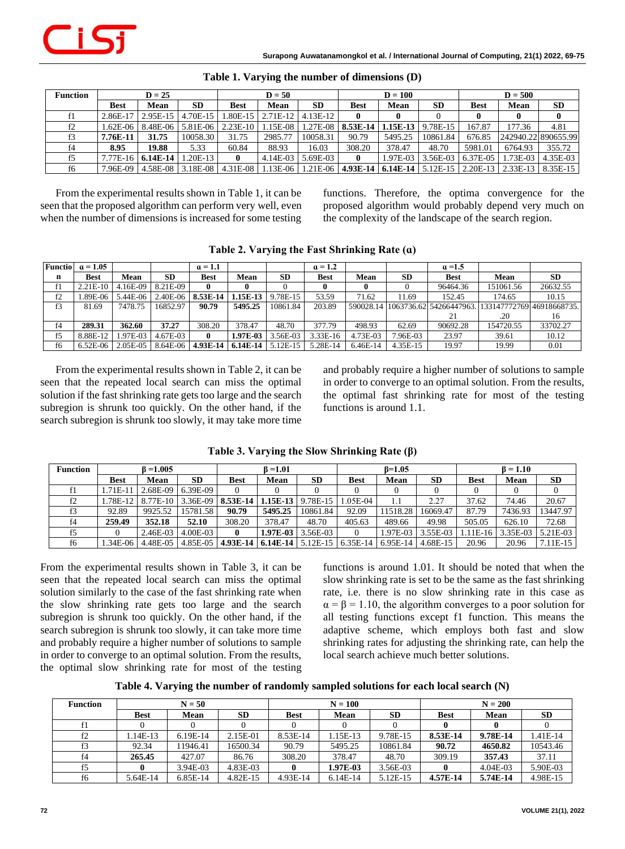| <b>Function</b> | $D = 25$    |                     |                                                                 | $D = 50$     |         |                     | $D = 100$                                   |         |           | $D = 500$   |                                     |                                                                                                                                   |
|-----------------|-------------|---------------------|-----------------------------------------------------------------|--------------|---------|---------------------|---------------------------------------------|---------|-----------|-------------|-------------------------------------|-----------------------------------------------------------------------------------------------------------------------------------|
|                 | <b>Best</b> | Mean                | <b>SD</b>                                                       | <b>Best</b>  | Mean    | <b>SD</b>           | <b>Best</b>                                 | Mean    | <b>SD</b> | <b>Best</b> | Mean                                | <b>SD</b>                                                                                                                         |
|                 |             |                     | 2.86E-17   2.95E-15   4.70E-15   1.80E-15   2.71E-12   4.13E-12 |              |         |                     |                                             |         |           |             |                                     | $\bf{0}$                                                                                                                          |
| f2              |             |                     | 1.62E-06   8.48E-06   5.81E-06   2.23E-10   1.15E-08            |              |         |                     | $1.27E-08$   8.53E-14   1.15E-13   9.78E-15 |         |           | 167.87      | 177.36                              | 4.81                                                                                                                              |
|                 | $7.76E-11$  | 31.75               | 10058.30                                                        | 31.75        | 2985.77 | 10058.31            | 90.79                                       | 5495.25 | 10861.84  | 676.85      |                                     | 242940.22 890655.99                                                                                                               |
| f4              | 8.95        | 19.88               | 5.33                                                            | 60.84        | 88.93   | 16.03               | 308.20                                      | 378.47  | 48.70     | 5981.01     | 6764.93                             | 355.72                                                                                                                            |
|                 |             | $7.77E-16$ 6.14E-14 | $1.20E-13$                                                      | $\mathbf{0}$ |         | $4.14E-03$ 5.69E-03 | $\bf{0}$                                    |         |           |             | 1.97E-03 3.56E-03 6.37E-05 1.73E-03 | 4.35E-03                                                                                                                          |
| f6              |             |                     |                                                                 |              |         |                     |                                             |         |           |             |                                     | 7.96E-09   4.58E-08   3.18E-08   4.31E-08   1.13E-06   1.21E-06   4.93E-14   6.14E-14   5.12E-15   2.20E-13   2.33E-13   8.35E-15 |

|  |  |  | Table 1. Varying the number of dimensions (D) |  |  |
|--|--|--|-----------------------------------------------|--|--|
|--|--|--|-----------------------------------------------|--|--|

From the experimental results shown in Table 1, it can be seen that the proposed algorithm can perform very well, even when the number of dimensions is increased for some testing functions. Therefore, the optima convergence for the proposed algorithm would probably depend very much on the complexity of the landscape of the search region.

|    | <b>Functio</b> $\alpha = 1.05$ |                   |           | $\alpha = 1.1$                              |            |           | $\alpha = 1.2$ |          |            | $\alpha = 1.5$                                              |           |           |
|----|--------------------------------|-------------------|-----------|---------------------------------------------|------------|-----------|----------------|----------|------------|-------------------------------------------------------------|-----------|-----------|
| n  | Best                           | Mean              | <b>SD</b> | Best                                        | Mean       | <b>SD</b> | <b>Best</b>    | Mean     | <b>SD</b>  | <b>Best</b>                                                 | Mean      | <b>SD</b> |
| f1 | $2.21E-10$                     | $4.16E-09$        | 8.21E-09  | 0                                           |            |           | $\mathbf{0}$   | 0        |            | 96464.36                                                    | 151061.56 | 26632.55  |
| f2 | .89E-06                        | 5.44E-06          |           | $2.40E-06$   8.53E-14                       | $1.15E-13$ | 9.78E-15  | 53.59          | 71.62    | 11.69      | 152.45                                                      | 174.65    | 10.15     |
| f3 | 81.69                          | 7478.75           | 16852.97  | 90.79                                       | 5495.25    | 10861.84  | 203.89         |          |            | 590028.14 1063736.62 54266447963. 133147772769 46918668735. |           |           |
|    |                                |                   |           |                                             |            |           |                |          |            |                                                             | .20       | 16        |
| f4 | 289.31                         | 362.60            | 37.27     | 308.20                                      | 378.47     | 48.70     | 377.79         | 498.93   | 62.69      | 90692.28                                                    | 154720.55 | 33702.27  |
| f5 | 8.88E-12                       | 1.97E-03          | 4.67E-03  | 0                                           | 1.97E-03   | 3.56E-03  | $3.33E-16$     | 4.73E-03 | 7.96E-03   | 23.97                                                       | 39.61     | 10.12     |
| f6 |                                | 6.52E-06 2.05E-05 |           | $8.64E-06$   4.93E-14   6.14E-14   5.12E-15 |            |           | 5.28E-14       | 6.46E-14 | $4.35E-15$ | 19.97                                                       | 19.99     | 0.01      |

**Table 2. Varying the Fast Shrinking Rate (ɑ)**

From the experimental results shown in Table 2, it can be seen that the repeated local search can miss the optimal solution if the fast shrinking rate gets too large and the search subregion is shrunk too quickly. On the other hand, if the search subregion is shrunk too slowly, it may take more time and probably require a higher number of solutions to sample in order to converge to an optimal solution. From the results, the optimal fast shrinking rate for most of the testing functions is around 1.1.

| <b>Function</b> |             | $B = 1.005$<br>6 = 1.01 |             |                                           |            | $B=1.05$  |             |                     |           | $B = 1.10$ |          |           |
|-----------------|-------------|-------------------------|-------------|-------------------------------------------|------------|-----------|-------------|---------------------|-----------|------------|----------|-----------|
|                 | <b>Best</b> | Mean                    | <b>SD</b>   | <b>Best</b>                               | Mean       | <b>SD</b> | <b>Best</b> | <b>Mean</b>         | <b>SD</b> | Best       | Mean     | <b>SD</b> |
|                 | 1.71E-11    | 2.68E-09                | 6.39E-09    |                                           |            |           |             |                     |           |            |          |           |
|                 | 1.78E-12    | 8.77E-10                | 3.36E-09    | 8.53E-14                                  | $1.15E-13$ | 9.78E-15  | 1.05E-04    | l.l                 | 2.27      | 37.62      | 74.46    | 20.67     |
|                 | 92.89       | 9925.52                 | 15781.58    | 90.79                                     | 5495.25    | 10861.84  | 92.09       | 11518.28            | 16069.47  | 87.79      | 7436.93  | 13447.97  |
| f4              | 259.49      | 352.18                  | 52.10       | 308.20                                    | 378.47     | 48.70     | 405.63      | 489.66              | 49.98     | 505.05     | 626.10   | 72.68     |
|                 |             | 2.46E-03                | 4.00E-03    |                                           | $1.97E-03$ | 3.56E-03  |             | 1.97E-03            | 3.55E-03  | $1.11E-16$ | 3.35E-03 | 5.21E-03  |
| f6              | 1.34E-06    | 4.48E-05                | $4.85E-0.5$ | 4.93E-14   6.14E-14   5.12E-15   6.35E-14 |            |           |             | 6.95E-14   4.68E-15 |           | 20.96      | 20.96    | 7.11E-15  |

**Table 3. Varying the Slow Shrinking Rate (β)**

From the experimental results shown in Table 3, it can be seen that the repeated local search can miss the optimal solution similarly to the case of the fast shrinking rate when the slow shrinking rate gets too large and the search subregion is shrunk too quickly. On the other hand, if the search subregion is shrunk too slowly, it can take more time and probably require a higher number of solutions to sample in order to converge to an optimal solution. From the results, the optimal slow shrinking rate for most of the testing

functions is around 1.01. It should be noted that when the slow shrinking rate is set to be the same as the fast shrinking rate, i.e. there is no slow shrinking rate in this case as  $\alpha = \beta = 1.10$ , the algorithm converges to a poor solution for all testing functions except f1 function. This means the adaptive scheme, which employs both fast and slow shrinking rates for adjusting the shrinking rate, can help the local search achieve much better solutions.

**Table 4. Varying the number of randomly sampled solutions for each local search (N)**

| <b>Function</b> |             | $N = 50$ |           |             | $N = 100$  |           | $N = 200$   |            |           |  |
|-----------------|-------------|----------|-----------|-------------|------------|-----------|-------------|------------|-----------|--|
|                 | <b>Best</b> | Mean     | <b>SD</b> | <b>Best</b> | Mean       | <b>SD</b> | <b>Best</b> | Mean       | <b>SD</b> |  |
|                 |             |          |           |             |            |           |             |            |           |  |
| f2              | 1.14E-13    | 6.19E-14 | 2.15E-01  | 8.53E-14    | 1.15E-13   | 9.78E-15  | 8.53E-14    | 9.78E-14   | 1.41E-14  |  |
|                 | 92.34       | 11946.41 | 16500.34  | 90.79       | 5495.25    | 10861.84  | 90.72       | 4650.82    | 10543.46  |  |
| f4              | 265.45      | 427.07   | 86.76     | 308.20      | 378.47     | 48.70     | 309.19      | 357.43     | 37.11     |  |
| f5              |             | 3.94E-03 | 4.83E-03  |             | 1.97E-03   | 3.56E-03  |             | $4.04E-03$ | 5.90E-03  |  |
| f6              | 5.64E-14    | 6.85E-14 | 4.82E-15  | 4.93E-14    | $6.14E-14$ | 5.12E-15  | 4.57E-14    | 5.74E-14   | 4.98E-15  |  |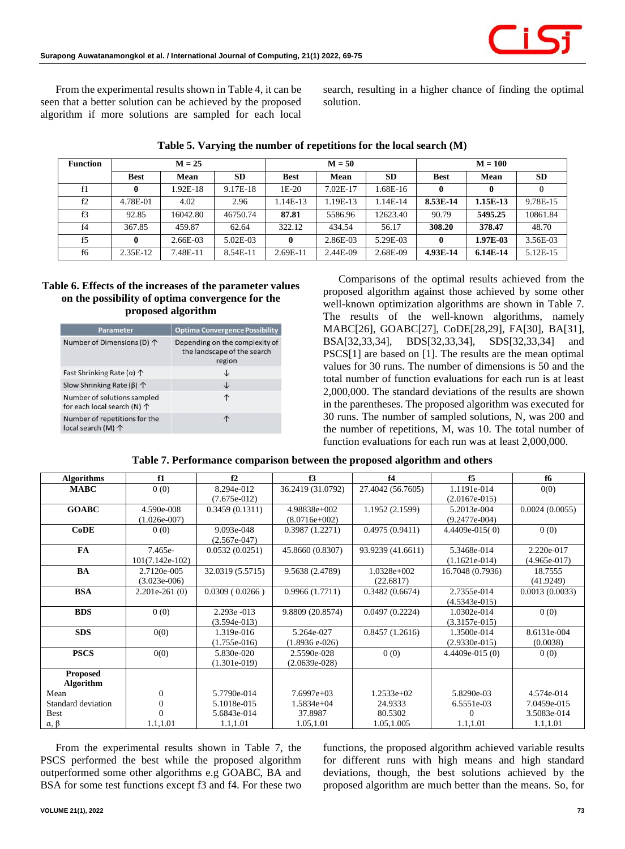From the experimental results shown in Table 4, it can be seen that a better solution can be achieved by the proposed algorithm if more solutions are sampled for each local

search, resulting in a higher chance of finding the optimal solution.

| <b>Function</b> |             | $M = 25$ |           |             | $M = 50$ |           | $M = 100$   |            |           |  |
|-----------------|-------------|----------|-----------|-------------|----------|-----------|-------------|------------|-----------|--|
|                 | <b>Best</b> | Mean     | <b>SD</b> | <b>Best</b> | Mean     | <b>SD</b> | <b>Best</b> | Mean       | <b>SD</b> |  |
| f1              | 0           | 1.92E-18 | 9.17E-18  | $1E-20$     | 7.02E-17 | 1.68E-16  | 0           |            |           |  |
| f2              | 4.78E-01    | 4.02     | 2.96      | 1.14E-13    | 1.19E-13 | 1.14E-14  | 8.53E-14    | 1.15E-13   | 9.78E-15  |  |
| f3              | 92.85       | 16042.80 | 46750.74  | 87.81       | 5586.96  | 12623.40  | 90.79       | 5495.25    | 10861.84  |  |
| f <sub>4</sub>  | 367.85      | 459.87   | 62.64     | 322.12      | 434.54   | 56.17     | 308.20      | 378.47     | 48.70     |  |
| f <sub>5</sub>  | 0           | 2.66E-03 | 5.02E-03  | 0           | 2.86E-03 | 5.29E-03  | 0           | 1.97E-03   | 3.56E-03  |  |
| f6              | 2.35E-12    | 7.48E-11 | 8.54E-11  | 2.69E-11    | 2.44E-09 | 2.68E-09  | 4.93E-14    | $6.14E-14$ | 5.12E-15  |  |

|  | Table 5. Varying the number of repetitions for the local search (M) |  |  |
|--|---------------------------------------------------------------------|--|--|
|  |                                                                     |  |  |

# **Table 6. Effects of the increases of the parameter values on the possibility of optima convergence for the proposed algorithm**

| <b>Parameter</b>                                                    | <b>Optima Convergence Possibility</b>                                   |
|---------------------------------------------------------------------|-------------------------------------------------------------------------|
| Number of Dimensions (D) 个                                          | Depending on the complexity of<br>the landscape of the search<br>region |
| Fast Shrinking Rate (a) 个                                           | ↓                                                                       |
| Slow Shrinking Rate ( $\beta$ ) $\uparrow$                          | ↓                                                                       |
| Number of solutions sampled<br>for each local search (N) $\uparrow$ | ↑                                                                       |
| Number of repetitions for the<br>local search (M) 个                 |                                                                         |

Comparisons of the optimal results achieved from the proposed algorithm against those achieved by some other well-known optimization algorithms are shown in Table 7. The results of the well-known algorithms, namely MABC[26], GOABC[27], CoDE[28,29], FA[30], BA[31], BSA[32,33,34], BDS[32,33,34], SDS[32,33,34] and PSCS[1] are based on [1]. The results are the mean optimal values for 30 runs. The number of dimensions is 50 and the total number of function evaluations for each run is at least 2,000,000. The standard deviations of the results are shown in the parentheses. The proposed algorithm was executed for 30 runs. The number of sampled solutions, N, was 200 and the number of repetitions, M, was 10. The total number of function evaluations for each run was at least 2,000,000.

| Table 7. Performance comparison between the proposed algorithm and others |  |  |  |
|---------------------------------------------------------------------------|--|--|--|
|                                                                           |  |  |  |

| <b>Algorithms</b>  | f1                | f2               | f3                | f4                | f5               | f6             |
|--------------------|-------------------|------------------|-------------------|-------------------|------------------|----------------|
| <b>MABC</b>        | 0(0)              | 8.294e-012       | 36.2419 (31.0792) | 27.4042 (56.7605) | 1.1191e-014      | 0(0)           |
|                    |                   | $(7.675e-012)$   |                   |                   | $(2.0167e-015)$  |                |
| <b>GOABC</b>       | 4.590e-008        | 0.3459(0.1311)   | 4.98838e+002      | 1.1952 (2.1599)   | 5.2013e-004      | 0.0024(0.0055) |
|                    | $(1.026e-007)$    |                  | $(8.0716e+002)$   |                   | $(9.2477e-004)$  |                |
| CoDE               | 0(0)              | 9.093e-048       | 0.3987(1.2271)    | 0.4975(0.9411)    | 4.4409e-015(0)   | 0(0)           |
|                    |                   | $(2.567e-047)$   |                   |                   |                  |                |
| <b>FA</b>          | 7.465e-           | 0.0532(0.0251)   | 45.8660 (0.8307)  | 93.9239 (41.6611) | 5.3468e-014      | 2.220e-017     |
|                    | $101(7.142e-102)$ |                  |                   |                   | $(1.1621e-014)$  | $(4.965e-017)$ |
| BA                 | 2.7120e-005       | 32.0319 (5.5715) | 9.5638 (2.4789)   | $1.0328e+002$     | 16.7048 (0.7936) | 18.7555        |
|                    | $(3.023e-006)$    |                  |                   | (22.6817)         |                  | (41.9249)      |
| <b>BSA</b>         | $2.201e-261(0)$   | 0.0309(0.0266)   | 0.9966(1.7711)    | 0.3482(0.6674)    | 2.7355e-014      | 0.0013(0.0033) |
|                    |                   |                  |                   |                   | $(4.5343e-015)$  |                |
| <b>BDS</b>         | 0(0)              | 2.293e -013      | 9.8809 (20.8574)  | 0.0497(0.2224)    | 1.0302e-014      | 0(0)           |
|                    |                   | $(3.594e-013)$   |                   |                   | $(3.3157e-015)$  |                |
| <b>SDS</b>         | 0(0)              | 1.319e-016       | 5.264e-027        | 0.8457(1.2616)    | 1.3500e-014      | 8.6131e-004    |
|                    |                   | $(1.755e-016)$   | $(1.8936 e-026)$  |                   | $(2.9330e-015)$  | (0.0038)       |
| <b>PSCS</b>        | 0(0)              | 5.830e-020       | 2.5590e-028       | 0(0)              | $4.4409e-015(0)$ | 0(0)           |
|                    |                   | $(1.301e-019)$   | $(2.0639e-028)$   |                   |                  |                |
| <b>Proposed</b>    |                   |                  |                   |                   |                  |                |
| Algorithm          |                   |                  |                   |                   |                  |                |
| Mean               | $\Omega$          | 5.7790e-014      | $7.6997e+03$      | $1.2533e+02$      | 5.8290e-03       | 4.574e-014     |
| Standard deviation | $\Omega$          | 5.1018e-015      | $1.5834e+04$      | 24.9333           | 6.5551e-03       | 7.0459e-015    |
| <b>Best</b>        |                   | 5.6843e-014      | 37.8987           | 80.5302           | 0                | 3.5083e-014    |
| $a, \beta$         | 1.1,1.01          | 1.1,1.01         | 1.05,1.01         | 1.05,1.005        | 1.1,1.01         | 1.1,1.01       |

From the experimental results shown in Table 7, the PSCS performed the best while the proposed algorithm outperformed some other algorithms e.g GOABC, BA and BSA for some test functions except f3 and f4. For these two

functions, the proposed algorithm achieved variable results for different runs with high means and high standard deviations, though, the best solutions achieved by the proposed algorithm are much better than the means. So, for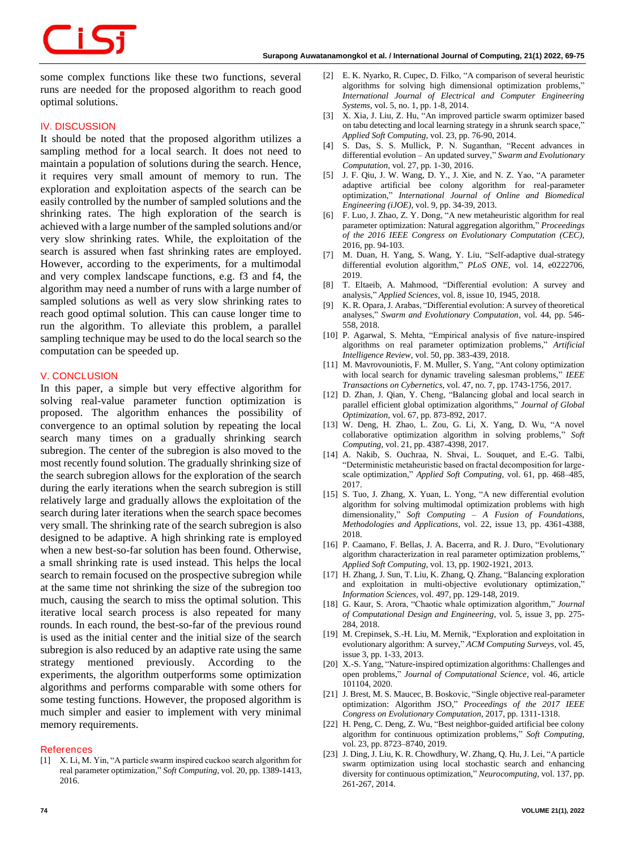# some complex functions like these two functions, several runs are needed for the proposed algorithm to reach good optimal solutions.

# **IV. DISCUSSION**

زكن

It should be noted that the proposed algorithm utilizes a sampling method for a local search. It does not need to maintain a population of solutions during the search. Hence, it requires very small amount of memory to run. The exploration and exploitation aspects of the search can be easily controlled by the number of sampled solutions and the shrinking rates. The high exploration of the search is achieved with a large number of the sampled solutions and/or very slow shrinking rates. While, the exploitation of the search is assured when fast shrinking rates are employed. However, according to the experiments, for a multimodal and very complex landscape functions, e.g. f3 and f4, the algorithm may need a number of runs with a large number of sampled solutions as well as very slow shrinking rates to reach good optimal solution. This can cause longer time to run the algorithm. To alleviate this problem, a parallel sampling technique may be used to do the local search so the computation can be speeded up.

# **V. CONCLUSION**

In this paper, a simple but very effective algorithm for solving real-value parameter function optimization is proposed. The algorithm enhances the possibility of convergence to an optimal solution by repeating the local search many times on a gradually shrinking search subregion. The center of the subregion is also moved to the most recently found solution. The gradually shrinking size of the search subregion allows for the exploration of the search during the early iterations when the search subregion is still relatively large and gradually allows the exploitation of the search during later iterations when the search space becomes very small. The shrinking rate of the search subregion is also designed to be adaptive. A high shrinking rate is employed when a new best-so-far solution has been found. Otherwise, a small shrinking rate is used instead. This helps the local search to remain focused on the prospective subregion while at the same time not shrinking the size of the subregion too much, causing the search to miss the optimal solution. This iterative local search process is also repeated for many rounds. In each round, the best-so-far of the previous round is used as the initial center and the initial size of the search subregion is also reduced by an adaptive rate using the same strategy mentioned previously. According to the experiments, the algorithm outperforms some optimization algorithms and performs comparable with some others for some testing functions. However, the proposed algorithm is much simpler and easier to implement with very minimal memory requirements.

# **References**

[1] X. Li, M. Yin, "A particle swarm inspired cuckoo search algorithm for real parameter optimization," *Soft Computing*, vol. 20, pp. 1389-1413, 2016.

- [2] E. K. Nyarko, R. Cupec, D. Filko, "A comparison of several heuristic algorithms for solving high dimensional optimization problems," *International Journal of Electrical and Computer Engineering Systems*, vol. 5, no. 1, pp. 1-8, 2014.
- [3] X. Xia, J. Liu, Z. Hu, "An improved particle swarm optimizer based on tabu detecting and local learning strategy in a shrunk search space," *Applied Soft Computing*, vol. 23, pp. 76-90, 2014.
- [4] S. Das, S. S. Mullick, P. N. Suganthan, "Recent advances in differential evolution – An updated survey," *Swarm and Evolutionary Computation*, vol. 27, pp. 1-30, 2016.
- [5] J. F. Qiu, J. W. Wang, D. Y., J. Xie, and N. Z. Yao, "A parameter adaptive artificial bee colony algorithm for real-parameter optimization," *International Journal of Online and Biomedical Engineering (iJOE)*, vol. 9, pp. 34-39, 2013.
- [6] F. Luo, J. Zhao, Z. Y. Dong, "A new metaheuristic algorithm for real parameter optimization: Natural aggregation algorithm," *Proceedings of the 2016 IEEE Congress on Evolutionary Computation (CEC)*, 2016, pp. 94-103.
- [7] M. Duan, H. Yang, S. Wang, Y. Liu, "Self-adaptive dual-strategy differential evolution algorithm," *PLoS ONE*, vol. 14, e0222706, 2019.
- [8] T. Eltaeib, A. Mahmood, "Differential evolution: A survey and analysis," *Applied Sciences*, vol. 8, issue 10, 1945, 2018.
- K. R. Opara, J. Arabas, "Differential evolution: A survey of theoretical analyses," *Swarm and Evolutionary Computation*, vol. 44, pp. 546- 558, 2018.
- [10] P. Agarwal, S. Mehta, "Empirical analysis of five nature-inspired algorithms on real parameter optimization problems," *Artificial Intelligence Review*, vol. 50, pp. 383-439, 2018.
- [11] M. Mavrovouniotis, F. M. Muller, S. Yang, "Ant colony optimization with local search for dynamic traveling salesman problems," *IEEE Transactions on Cybernetics*, vol. 47, no. 7, pp. 1743-1756, 2017.
- [12] D. Zhan, J. Qian, Y. Cheng, "Balancing global and local search in parallel efficient global optimization algorithms," *Journal of Global Optimization*, vol. 67, pp. 873-892, 2017.
- [13] W. Deng, H. Zhao, L. Zou, G. Li, X. Yang, D. Wu, "A novel collaborative optimization algorithm in solving problems," *Soft Computing*, vol. 21, pp. 4387-4398, 2017.
- [14] A. Nakib, S. Ouchraa, N. Shvai, L. Souquet, and E.-G. Talbi, "Deterministic metaheuristic based on fractal decomposition for largescale optimization," *Applied Soft Computing*, vol. 61, pp. 468–485, 2017.
- [15] S. Tuo, J. Zhang, X. Yuan, L. Yong, "A new differential evolution algorithm for solving multimodal optimization problems with high dimensionality," *Soft Computing – A Fusion of Foundations, Methodologies and Applications*, vol. 22, issue 13, pp. 4361-4388, 2018.
- [16] P. Caamano, F. Bellas, J. A. Bacerra, and R. J. Duro, "Evolutionary algorithm characterization in real parameter optimization problems, *Applied Soft Computing*, vol. 13, pp. 1902-1921, 2013.
- [17] H. Zhang, J. Sun, T. Liu, K. Zhang, Q. Zhang, "Balancing exploration and exploitation in multi-objective evolutionary optimization," *Information Sciences*, vol. 497, pp. 129-148, 2019.
- [18] G. Kaur, S. Arora, "Chaotic whale optimization algorithm," *Journal of Computational Design and Engineering*, vol. 5, issue 3, pp. 275- 284, 2018.
- [19] M. Crepinsek, S.-H. Liu, M. Mernik, "Exploration and exploitation in evolutionary algorithm: A survey," *ACM Computing Surveys*, vol. 45, issue 3, pp. 1-33, 2013.
- [20] X.-S. Yang, "Nature-inspired optimization algorithms: Challenges and open problems," *Journal of Computational Science*, vol. 46, article 101104, 2020.
- [21] J. Brest, M. S. Maucec, B. Boskovic, "Single objective real-parameter optimization: Algorithm JSO," *Proceedings of the 2017 IEEE Congress on Evolutionary Computation*, 2017, pp. 1311-1318.
- [22] H. Peng, C. Deng, Z. Wu, "Best neighbor-guided artificial bee colony algorithm for continuous optimization problems," *Soft Computing*, vol. 23, pp. 8723–8740, 2019.
- [23] J. Ding, J. Liu, K. R. Chowdhury, W. Zhang, Q. Hu, J. Lei, "A particle swarm optimization using local stochastic search and enhancing diversity for continuous optimization," *Neurocomputing*, vol. 137, pp. 261-267, 2014.